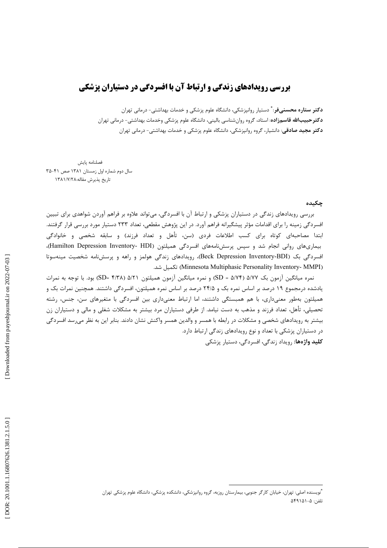## **بررسی رویدادهای زندگی و ارتباط آن با افسردگی در دستیاران پزشکی**

**دکتر ستاره محسنیفر**: ٌ دستیار روانپزشکی، دانشگاه علوم پزشکی و خدمات بهداشتی- درمانی تهران **دکترحبیبالله قاسمزاده**: استاد، گروه روانشناسی بالینی، دانشگاه علوم پزشکی وخدمات بهداشتی- درمانی تهران **دکتر مجید صادقی**: دانشیار، گروه روانپزشکی، دانشگاه علوم پزشکی و خدمات بهداشتی- درمانی تهران

فصلنامه يايش سال دوم شماره اول زمستان ۱۳۸۱ صص ۴۱-۳۵ تاريخ پذيرش مقاله:١٣٨١/٧/٢٨

حكىدە

بررسی رویدادهای زندگی در دستیاران پزشکی و ارتباط آن با افسردگی، میتواند علاوه بر فراهم آوردن شواهدی برای تبیین افسردگی زمینه را برای اقدامات مؤثر پیشگیرانه فراهم آورد. در این پژوهش مقطعی، تعداد ۲۳۳ دستیار مورد بررسی قرار گرفتند. ابتدا مصاحبهای کوتاه برای کسب اطلاعات فردی (سن، تأهل و تعداد فرزند) و سابقه شخصی و خانوادگی بیماریهای روانی انجام شد و سپس پرسشنامههای افسردگی همیلتون (Hamilton Depression Inventory- HDI)، افسردگی بک (Beck Depression Inventory-BDI)، رویدادهای زندگی هولمز و راهه و پرسشنامه شخصیت مینهسوتا (Minnesota Multiphasic Personality Inventory- MMPI) تكميل شد.

نمره میانگین آزمون بک ۵/۷۲ (۵/۷۴ = SD) و نمره میانگین آزمون همیلتون ۵/۲۱ (SD= ۴/۳۸) بود. با توجه به نمرات یادشده درمجموع ۱۹ درصد بر اساس نمره بک و ۲۴/۵ درصد بر اساس نمره همیلتون، افسردگی داشتند. همچنین نمرات بک و همیلتون بهطور معنیداری، با هم همبستگی داشتند، اما ارتباط معنیداری بین افسردگی با متغیرهای سن، جنس، رشته تحصیلی، تأهل، تعداد فرزند و مذهب به دست نیامد. از طرفی دستیاران مرد بیشتر به مشکلات شغلی و مالی و دستیاران زن بیشتر به رویدادهای شخصی و مشکلات در رابطه با همسر و والدین همسر واکنش نشان دادند. بنابر این به نظر میرسد افسردگی در دستیاران پزشکی با تعداد و نوع رویدادهای زندگی ارتباط دارد. **کلید واژهها:** رویداد زندگی، افسردگی، دستیار پزشکی

<sup>ّٔ</sup>نویسنده اصلی: تهران، خیابان کارگر جنوبی، بیمارستان روزبه، گروه روانپزشکی، دانشکده پزشکی، دانشگاه علوم پزشکی تهران تلفن: ۵-۵۴۹۱۵۱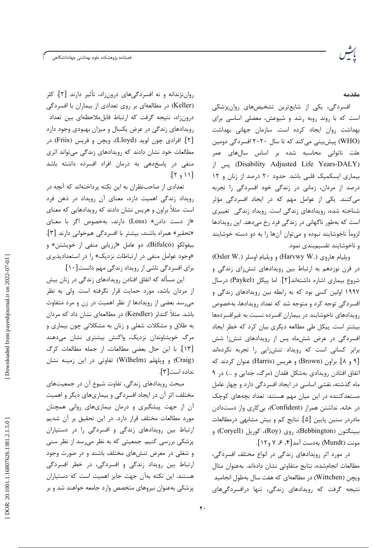فصلنامه پژوهشكده علوم بهداشتى جهاددانشگاهى

مقدمه

افسردگی، یکی از شایعترین تشخیصهای روانپزشکی است که با روند روبه رشد و شیوعش، معضلی اساسی برای بهداشت روان ايجاد كرده است. سازمان جهانى بهداشت (WHO) پیش بینی می کند که تا سال ۲۰۲۰ افسردگی دومین علت ناتوانی محاسبه شده بر اساس سالهای عمر (Disability Adjusted Life Years-DALY) پس از بیماری ایسکمیک قلبی باشد. حدود ۲۰ درصد از زنان و ۱۲ درصد از مردان، زمانی در زندگی خود افسردگی را تجربه می کنند. یکی از عوامل مهم که در ایجاد افسردگی مؤثر شناخته شده، رویدادهای زندگی است. رویداد زندگی تغییری است که بهطور ناگهانی در زندگی فرد رخ میدهد. این رویدادها لزوماً ناخوشایند نبوده و می توان آنها را به دو دسته خوشایند و ناخوشايند تقسيمېندى نمود.

ويليام هاروي (.Harvwy W) و ويليام اوسلر (.Osler W) در قرن نوزدهم به ارتباط بین رویدادهای تنشiای زندگی و شروع بيماري اشاره داشتهاند[٢]. اما ييكل (Paykel) درسال ۱۹۹۷ اولین کسی بود که به رابطه بین رویدادهای زندگی و افسردگی توجه کرد و متوجه شد که تعداد رویدادها، بهخصوص رویدادهای ناخوشایند در بیماران افسرده نسبت به غیرافسردهها بیشتر است. پیکل طی مطالعه دیگری بیان کرد که خطر ایجاد افسردگی در عرض شش ماه پس از رویدادهای تنشiا شش برابر کسانی است که رویداد تنشiایی را تجربه نکردهاند [۹ و ۸]. براون (Brown) و هريس (Harris) عنوان كردند كه اتفاق افتادن رویدادی بهشکل فقدان (مرگ، جدایی و …) در ۹ ماه گذشته، نقشی اساسی در ایجاد افسردگی دارد و چهار عامل مستعدکننده در این میان مهم هستند: تعداد بچههای کوچک در خانه، نداشتن همراز (Confident)، بی کاری واز دستدادن مادردر سنین پایین [۵]. نتایج کم و بیش مشابهی درمطالعات ببينگتون (Bebbington)، روی (Roy)، کوريل (Coryell) و مونت (Mundt) بهدست آمد[۴، ۶، ۷ و ۱۲].

در مورد اثر رویدادهای زندگی در انواع مختلف افسردگی، مطالعات انجامشده، نتايج متفاوتي نشان دادهاند. بهعنوان مثال ويچن (Wittchen) در مطالعهاي كه هفت سال بهطول انجاميد نتیجه گرفت که رویدادهای زندگی، تنها درافسردگیهای

رواننژندانه و نه افسردگیهای درونزاد، تأثیر دارند [۲]. کلر (Keller) در مطالعهای بر روی تعدادی از بیماران با افسردگی درونزاد، نتیجه گرفت که ارتباط قابلملاحظهای بین تعداد رویدادهای زندگی در عرض یکسال و میزان بهبودی وجود دارد [۲]. افرادي چون لويد (Lloyd)، ويچن و فريس (Friis) در مطالعات خود نشان دادند که رویدادهای زندگی میتواند اثری منفی در یاسخدهی به درمان افراد افسرده داشته باشد  $[\gamma, \gamma]$ 

تعدادی از صاحب نظران به این نکته پرداختهاند که آنچه در رویداد زندگی اهمیت دارد، معنای آن رویداد در ذهن فرد است. مثلاً براون و هریس نشان دادند که رویدادهایی که معنای «از دست دادن» (Loss) دارند، بهخصوص اگر با معنای «تحقیر» همراه باشند، بیشتر با افسردگی همخوانی دارند [۳]. بیفولکو (Bifulco)، دو عامل «ارزیابی منفی از خویشتن» و «وجود عوامل منفی در ارتباطات نزدیک» را در استعدادپذیری برای افسردگی ناشی از رویداد زندگی مهم دانست[۱۰].

این مسأله که اتفاق افتادن رویدادهای زندگی در زنان بیش از مردان باشد، مورد حمایت قرار نگرفته است. ولی به نظر میرسد بعضی از رویدادها از نظر اهمیت در زن و مرد متفاوت باشد. مثلاً کندلر (Kendler) در مطالعهای نشان داد که مردان به طلاق و مشکلات شغلی و زنان به مشکلاتی چون بیماری و مرگ خویشاوندان نزدیک، واکنش بیشتری نشان میدهند [١٣]. با اين حال بعضى مطالعات، از جمله مطالعات كرگ (Craig) و ویلهلم (Wilhelm) تفاوتی در این زمینه نشان نداده است [٣].

مبحث رویدادهای زندگی، تفاوت شیوع آن در جمعیتهای مختلف، اثر آن در ایجاد افسردگی و بیماریهای دیگر و اهمیت آن از جهت پیشگیری و درمان بیماریهای روانی همچنان مورد مطالعات مختلف قرار دارد. در این تحقیق بر آن شدیم ارتباط بین رویدادهای زندگی و افسردگی را در دستیاران پزشکی بررسی کنیم. جمعیتی که به نظر میرسد از نظر سنی و شغلی در معرض تنشهای مختلف باشند و در صورت وجود ارتباط بین رویداد زندگی و افسردگی، در خطر افسردگی هستند. این نکته بهآن جهت حایز اهمیت است که دستیاران یزشکی بهعنوان نیروهای متخصص وارد جامعه خواهند شد و بر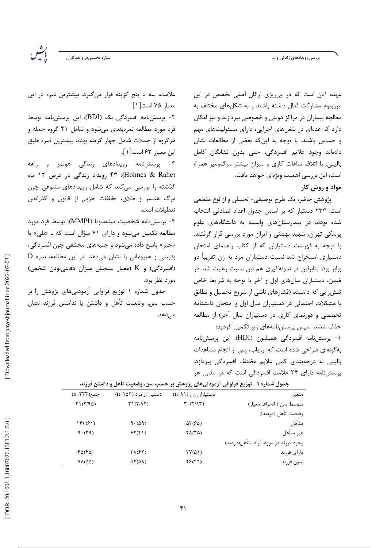بررسی رویدادهای زندگی و …

ات<br>ماییل ستاره محسنىفر و همكاران

علامت، سه تا پنج گزینه قرار میگیرد. بیشترین نمره در این

۲- یرسش نامه افسردگی یک (BDI): این پرسش نامه توسط

فرد مورد مطالعه نمرهبندی میشود و شامل ۲۱ گروه جمله و هرگروه از جملات شامل چهار گزینه بوده، بیشترین نمره طبق

۳- پرسشنامه رویدادهای زندگی هولمز و راهه

(Holmes & Rahe): ۴۳ رویداد زندگی در عرض ۱۲ ماه

گذشته را بررسی میکند که شامل رویدادهای متنوعی چون

مرگ همسر و طلاق، تخلفات جزیی از قانون و گذراندن

۴- پرسشنامه شخصیت مینهسوتا (MMPI): توسط فرد مورد

مطالعه تکمیل میشود و دارای ۷۱ سؤال است که با «بلی» یا

«خیر» پاسخ داده میشود و جنبههای مختلفی چون افسردگی،

بدبینی و هیپومانی را نشان میدهد. در این مطالعه، نمره D

(افسردگی) و K (معیار سنجش میزان دفاعیبودن شخص)

جدول شماره ۱ توزیع فراوانی آزمودنیهای پژوهش را بر

حسب سن، وضعیت تأهل و داشتن یا نداشتن فرزند نشان

معيار ٧٥ است [ ١ ].

اين معيار ۶۳ است[١].

تعطيلات است.

مورد نظر بود.

مے ٖدھد.

عهده آنان است که در پی ریزی ارکان اصلی تخصص در این مرزوبوم مشارکت فعال داشته باشند و به شکلهای مختلف به معالجه بیماران در مراکز دولتی و خصوصی بیردازند و نیز امکان دارد که عدهای در شغلهای اجرایی، دارای مسئولیتهای مهم و حساس باشند. با توجه به این که بعضی از مطالعات نشان دادهاند وجود علايم افسردگي، حتى بدون نشانگان كامل بالینی، با اتلاف ساعات کاری و میزان بیشتر مرگومیر همراه است، این بررسی اهمیت ویژهای خواهد یافت. مواد و روش کار

پژوهش حاضر، یک طرح توصیفی- تحلیلی و از نوع مقطعی است. ۲۳۳ دستیار که بر اساس جدول اعداد تصادفی انتخاب شده بودند در بیمارستانهای وابسته به دانشگاههای علوم یزشکی تهران، شهید بهشتی و ایران مورد بررسی قرار گرفتند. با توجه به فهرست دستیاران که از کتاب راهنمای امتحان دستیاری استخراج شد نسبت دستیاران مرد به زن تقریباً دو برابر بود. بنابراین در نمونهگیری هم این نسبت رعایت شد. در ضمن، دستیاران سالهای اول و آخر با توجه به شرایط خاص تنش;ایی که داشتند (فشارهای ناشی از شروع تحصیل و تطابق با مشکلات احتمالی در دستیاران سال اول و امتحان دانشنامه تخصصی و دورنمای کاری در دستیاران سال آخر) از مطالعه حذف شدند. سیس پرسش،نامههای زیر تکمیل گردید:

۱- پرسشنامه افسردگی همیلتون (HDI): این پرسشنامه بهگونهای طراحی شده است که ارزیاب، پس از انجام مشاهدات بالینی به درجهبندی کمی علایم مختلف افسردگی بپردازد. پرسشنامه دارای ۲۴ علامت افسردگی است که در مقابل هر

دستیاران مرد (۵۲-n) جمع(۱۳۳=n) دستیاران زن (۸۱=n) متوسط سن ( انحراف معیا، )  $T1(T/90)$  $T1(T/9T)$  $\mathbf{r} \cdot (\mathbf{r}/\mathbf{q}\mathbf{r})$ وضعيت تأهل (درصد)  $\mathcal{M}(\mathcal{F})$  $9 \cdot (\Delta 9)$ متأهل  $\Delta \Upsilon$ (۶ $\Delta$ )  $9.79)$  $FT(f)$  $\Upsilon\Lambda(\Upsilon\Delta)$ غير متأهل وجود فرزند در مورد افراد متأهل(درصد)  $PQ(FQ)$  $\mathsf{TA}(\mathsf{f}\mathsf{t})$  $\Upsilon V(\Delta)$ دارای فرزند  $YF(\mathfrak{f9})$  $V\Lambda(\Delta\Delta)$  $\Delta \Upsilon (\Delta \Lambda)$ بدون فرزند

| جدول شماره ۱- توزیع فراوانی آزمودنیهای پژوهش بر حسب سن، وضعیت تأهل و داشتن فرزند |  |
|----------------------------------------------------------------------------------|--|
|----------------------------------------------------------------------------------|--|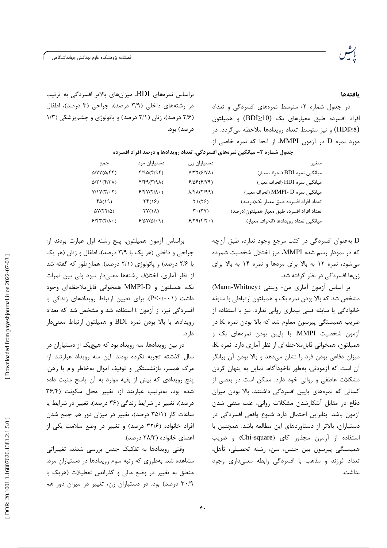.<br>فصلنامه پژوهشکده علوم بهداشتی جهاددانشگاهی

## بافتهها

در جدول شماره ۲، متوسط نمرههای افسردگی و تعداد افراد افسرده طبق معیارهای بک (10<BDI) و همیلتون (HDI≥8) و نیز متوسط تعداد رویدادها ملاحظه میگردد. در مورد نمره D در آزمون MMPI، از آنجا که نمره خاصی از

براساس نمرههای BDI، میزانهای بالاتر افسردگی به ترتیب در رشتههای داخلی (۳/۹ درصد)، جراحی (۳ درصد)، اطفال (۲/۶ درصد)، زنان (۲/۱ درصد) و یاتولوژی و چشم پزشکی (۱/۳ در صد) بود.

| جندوں سندرہ ، – سیانچیں تشریعی احسرت سی، بعضات روپیدانغو و تاریخیہ ایوان احسرتان |                           |                                                                    |                                            |  |  |  |  |  |
|----------------------------------------------------------------------------------|---------------------------|--------------------------------------------------------------------|--------------------------------------------|--|--|--|--|--|
| جمع                                                                              | دستياران مرد              | دستياران زن                                                        | متغير                                      |  |  |  |  |  |
| $\Delta$ /YY( $\Delta$ /FF)                                                      | f/9Q(f/9f)                | $Y/YY(F/Y\lambda)$                                                 | ميانگين نمره BDI (انحراف معيار)            |  |  |  |  |  |
| $Q(Y \setminus (Y Y \wedge))$                                                    | $f/f9(7/9\lambda)$        | 8/88(8/89)                                                         | میانگین نمره HDI (انحراف معیار)            |  |  |  |  |  |
| Y/Y(Y,Y,Y)                                                                       | $P/Y(Y \Lambda \cdot)$    | $\Lambda/\mathfrak{f}\Lambda(\mathsf{Y}/\mathfrak{q}\mathfrak{q})$ | میانگین نمره MMPI- D (انحراف معیار)        |  |  |  |  |  |
| f(x)                                                                             | $\Upsilon f(\lambda)$     | $\Gamma$ $(\tilde{\Upsilon}$ $\tilde{\Upsilon})$                   | تعداد افراد افسرده طبق معيار بك(درصد)      |  |  |  |  |  |
| $\Delta V(\Upsilon \Upsilon/\Delta)$                                             | $\Upsilon$ Y $(\Upsilon)$ | $\mathbf{r} \cdot (\mathbf{r} \mathbf{v})$                         | تعداد افراد افسرده طبق معيار هميلتون(درصد) |  |  |  |  |  |
| $P/\uparrow\uparrow(\uparrow/\uparrow\wedge\cdot)$                               | $9/0V(0/\cdot 9)$         | $9/79(9/7 \cdot )$                                                 | ميانگين تعداد رويدادها (انحراف معيار)      |  |  |  |  |  |

حدول شماره ۲– میانگین نمروهای اف سردى تعداد روبدادها ودرصد افراد افر

> به عنوان افسردگی در کتب مرجع وجود ندارد، طبق آنچه  ${\rm D}$ که در نمودار رسم شده MMPI، مرز اختلال شخصیت شمرده می شود، نمره ١٢ به بالا برای مردها و نمره ١۴ به بالا برای زنها افسردگی در نظر گرفته شد.

> بر اساس آزمون آماری من- ویتنی (Mann-Whitney) مشخص شد که بالا بودن نمره بک و همیلتون ارتباطی با سابقه خانوادگی یا سابقه قبلی بیماری روانی ندارد. نیز با استفاده از ضریب همبستگی پیرسون معلوم شد که بالا بودن نمره K در آزمون شخصیت MMPI، با پایین بودن نمرههای بک و همیلتون، همخوانی قابل ملاحظهای از نظر آماری دارد. نمره K، میزان دفاعی بودن فرد را نشان میدهد و بالا بودن آن بیانگر آن است که آزمودنی، بهطور ناخودآگاه، تمایل به پنهان کردن مشکلات عاطفی و روانی خود دارد. ممکن است در بعضی از کسانی که نمرههای پایین افسردگی داشتند، بالا بودن میزان دفاع در مقابل آشکارشدن مشکلات روانی، علت منفی شدن آزمون باشد. بنابراین احتمال دارد شیوع واقعی افسردگی در دستیاران، بالاتر از دستاوردهای این مطالعه باشد. همچنین با استفاده از آزمون مجذور كاي (Chi-square) وضريب همبستگی پیرسون بین جنس، سن، رشته تحصیلی، تأهل، تعداد فرزند و مذهب با افسردگی رابطه معنیداری وجود نداشت.

براساس أزمون هميلتون، پنج رشته اول عبارت بودند از: جراحی و داخلی (هر یک با ۳/۹ درصد)، اطفال و زنان (هر یک با ۲/۶ درصد) و پاتولوژی (۲/۱ درصد). همانطور که گفته شد از نظر آماری، اختلاف رشتهها معنیدار نبود ولی بین نمرات بک، همیلتون و MMPI-D همخوانی قابلملاحظهای وجود داشت (P<۰/۰۰۱). برای تعیین ارتباط رویدادهای زندگی با افسردگی نیز، از آزمون t استفاده شد و مشخص شد که تعداد رویدادها با بالا بودن نمره BDI و همیلتون ارتباط معنیدار دا, د.

در بین رویدادها، سه رویداد بود که هیچیک از دستیاران در سال گذشته تجربه نکرده بودند. این سه رویداد عبارتند از: مرگ همسر، بازنشستگی و توقیف اموال بهخاطر وام یا رهن. ينج رويدادي كه بيش از بقيه موارد به آن پاسخ مثبت داده شده بود، بهترتیب عبارتند از: تغییر محل سکونت (۳۶/۴ درصد)، تغییر در شرایط زندگی (۳۶ درصد)، تغییر در شرایط یا ساعات کار (۳۵/۱ درصد)، تغییر در میزان دور هم جمع شدن افراد خانواده (۳۲/۶ درصد) و تغییر در وضع سلامت یکی از اعضای خانواده (۲۸/۳ درصد).

وقتی رویدادها به تفکیک جنس بررسی شدند، تغییراتی مشاهده شد. بهطوری که رتبه سوم رویدادها در دستیاران مرد، متعلق به تغییر در وضع مالی و گذراندن تعطیلات (هریک با ۳۰/۹ درصد) بود. در دستیاران زن، تغییر در میزان دور هم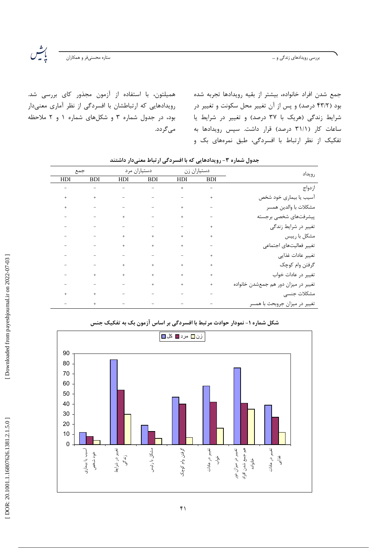بررسی رویدادهای زندگی و …

 $\bigcup_{n=1}^{\infty}$ ستاره محسنىفر و همكاران

همیلتون، با استفاده از آزمون مجذور کای بررسی شد. رویدادهایی که ارتباطشان با افسردگی از نظر آماری معنیدار بود، در جدول شماره ۳ و شکلهای شماره ۱ و ۲ ملاحظه مىگردد.

جمع شدن افراد خانواده، بيشتر از بقيه رويدادها تجربه شده بود (۴۳/۲ درصد) و پس از آن تغییر محل سکونت و تغییر در شرایط زندگی (هریک با ۳۷ درصد) و تغییر در شرایط یا ساعات کار (۳۱/۱ درصد) قرار داشت. سپس رویدادها به تفکیک از نظر ارتباط با افسردگی، طبق نمرههای بک و

| جمع                      |                                                                                                                                                                                                                                                                                                                                           |                                                                                                                                |                          | دستیاران زن مرد                                                           |            | رويداد                               |
|--------------------------|-------------------------------------------------------------------------------------------------------------------------------------------------------------------------------------------------------------------------------------------------------------------------------------------------------------------------------------------|--------------------------------------------------------------------------------------------------------------------------------|--------------------------|---------------------------------------------------------------------------|------------|--------------------------------------|
| HDI                      | <b>BDI</b>                                                                                                                                                                                                                                                                                                                                | HDI                                                                                                                            | <b>BDI</b>               | HDI                                                                       | <b>BDI</b> |                                      |
|                          | For the second control of the second control of the second control of the second control of the second control of the second control of the second control of the second control of the second control of the second control o                                                                                                            |                                                                                                                                |                          |                                                                           |            | ازدواج                               |
| $^{+}$                   | $\mathcal{A}^{\mathcal{A}}$ , and the set of the set of the set of the set of the set of the set of the set of the set of the set of the set of the set of the set of the set of the set of the set of the set of the set of the set of t                                                                                                 |                                                                                                                                |                          |                                                                           |            | آسیب یا بیماری خود شخص               |
| $^{+}$                   | where the contribution of the contribution of the contribution of the contribution of the contribution of the contribution of the contribution of the contribution of the contribution of the contribution of the contributio                                                                                                             |                                                                                                                                |                          |                                                                           |            | مشكلات با والدين همسر                |
|                          | $\mathcal{L}_{\mathcal{A}}$ , and the set of the set of the set of the set of the set of the set of the set of the set of the set of the set of the set of the set of the set of the set of the set of the set of the set of the set of th                                                                                                |                                                                                                                                |                          |                                                                           |            | پیشرفتهای شخصی برجسته                |
|                          | en al constituit de la constitution de la constitution de la constitution de la constitution de la constitution                                                                                                                                                                                                                           |                                                                                                                                |                          |                                                                           | $\pm$      | تغییر در شرایط زندگی                 |
|                          | $\frac{1}{2} \left( \left( \begin{array}{cc} 1 & 0 & 0 \\ 0 & 0 & 0 \\ 0 & 0 & 0 \\ 0 & 0 & 0 \\ 0 & 0 & 0 \\ 0 & 0 & 0 \\ 0 & 0 & 0 \\ 0 & 0 & 0 \\ 0 & 0 & 0 \\ 0 & 0 & 0 \\ 0 & 0 & 0 & 0 \\ 0 & 0 & 0 & 0 \\ 0 & 0 & 0 & 0 \\ 0 & 0 & 0 & 0 \\ 0 & 0 & 0 & 0 & 0 \\ 0 & 0 & 0 & 0 & 0 \\ 0 & 0 & 0 & 0 & 0 \\ 0 & 0 & 0 & 0 & 0 \\ 0$ |                                                                                                                                |                          |                                                                           | $\pm$      | مشکل با رییس                         |
|                          | $\frac{1}{2} \left( \left( \begin{array}{cc} 1 & 0 & 0 \\ 0 & 0 & 0 \\ 0 & 0 & 0 \\ 0 & 0 & 0 \\ 0 & 0 & 0 \\ 0 & 0 & 0 \\ 0 & 0 & 0 \\ 0 & 0 & 0 \\ 0 & 0 & 0 \\ 0 & 0 & 0 \\ 0 & 0 & 0 & 0 \\ 0 & 0 & 0 & 0 \\ 0 & 0 & 0 & 0 \\ 0 & 0 & 0 & 0 & 0 \\ 0 & 0 & 0 & 0 & 0 \\ 0 & 0 & 0 & 0 & 0 \\ 0 & 0 & 0 & 0 & 0 & 0 \\ 0 & 0 & 0 & 0$  |                                                                                                                                |                          | $\pm$ 100 km s $^{-1}$ .                                                  |            | تغيير فعاليتهاى اجتماعى              |
|                          | والمستوفي والمستوفي والمستوفي والمستوفي والمتواطن                                                                                                                                                                                                                                                                                         |                                                                                                                                |                          |                                                                           | $\pm$      | تغيير عادات غذايي                    |
|                          | $\mathcal{L}(\mathcal{L}^{\mathcal{L}})$ , and $\mathcal{L}^{\mathcal{L}}$ , and $\mathcal{L}^{\mathcal{L}}$ , and $\mathcal{L}^{\mathcal{L}}$                                                                                                                                                                                            |                                                                                                                                |                          | $\pm$ 100 $\pm$ 100 $\pm$                                                 | $\pm$      | گرفتن وام کوچک                       |
|                          |                                                                                                                                                                                                                                                                                                                                           |                                                                                                                                |                          |                                                                           | $\pm$      | تغییر در عادات خواب                  |
| $\overline{\phantom{a}}$ | the control of the control of the control of                                                                                                                                                                                                                                                                                              |                                                                                                                                |                          | $^+$                                                                      | $\ddot{}$  | تغییر در میزان دور هم جمعشدن خانواده |
| $^{+}$                   | $\mathcal{A}^{\mathcal{A}}$ and $\mathcal{A}^{\mathcal{A}}$ are the set of the set of the set of the set of the set of the set of the set of the set of the set of the set of the set of the set of the set of the set of the set of the set of the s                                                                                     |                                                                                                                                |                          | $\frac{1}{2}$ , and $\frac{1}{2}$ , and $\frac{1}{2}$ , and $\frac{1}{2}$ |            | مشكلات جنسى                          |
|                          | $^+$                                                                                                                                                                                                                                                                                                                                      | $\mathcal{L}(\mathcal{L}^{\mathcal{L}})$ and $\mathcal{L}^{\mathcal{L}}$ are the set of the set of $\mathcal{L}^{\mathcal{L}}$ | $\overline{\phantom{a}}$ |                                                                           |            | تغییر در میزان جروبحث با همسر        |

جدول شماره ۳- رویدادهایی که با افسردگی ارتباط معنیدار داشتند

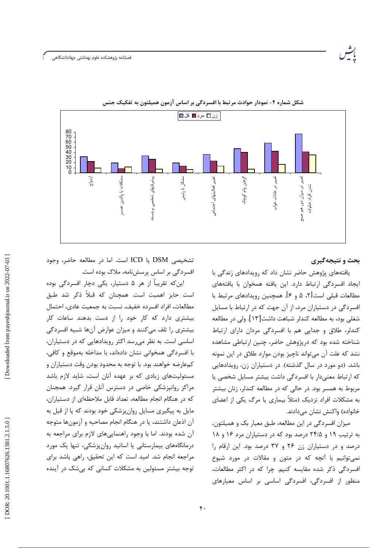

شکل شماره ۲- نمودار حوادث مرتبط با افسردگی بر اساس آزمون همیلتون به تفکیک جنس

## بحث و نتیجهگیری

یافتههای پژوهش حاضر نشان داد که رویدادهای زندگی با ايجاد افسردگى ارتباط دارد. اين يافته همخوان با يافتههاى مطالعات قبلی است [۲، ۵ و ۶]. همچنین رویدادهای مرتبط با افسردگی در دستیاران مرد، از آن جهت که در ارتباط با مسایل شغلی بود، به مطالعه کندلر شباهت داشت[۱۳]. ولی در مطالعه کندلر، طلاق و جدایی هم با افسردگی مردان دارای ارتباط شناخته شده بود که درپژوهش حاضر، چنین ارتباطی مشاهده نشد که علت آن می تواند ناچیز بودن موارد طلاق در این نمونه باشد. (دو مورد در سال گذشته). در دستیاران زن، رویدادهایی كه ارتباط معنى دار با افسردگى داشت بيشتر مسايل شخصى يا مربوط به همسر بود. در حالی که در مطالعه کندلر، زنان بیشتر به مشکلات افراد نزدیک (مثلاً بیماری یا مرگ یکی از اعضای خانواده) واكنش نشان مىدادند.

میزان افسردگی در این مطالعه، طبق معیار بک و همیلتون، به ترتیب ۱۹ و ۲۴/۵ درصد بود که در دستیاران مرد ۱۶ و ۱۸ درصد و در دستیاران زن ۲۶ و ۳۷ درصد بود. این ارقام را نمی توانیم با آنچه که در متون و مقالات در مورد شیوع افسردگی ذکر شده مقایسه کنیم. چرا که در اکثر مطالعات، منظور از افسردگی، افسردگی اساسی بر اساس معیارهای

تشخيصي DSM يا ICD است. اما در مطالعه حاضر، وجود افسردگی بر اساس پرسشنامه، ملاک بوده است.

این که تقریباً از هر ۵ دستیار، یکی دچار افسردگی بوده است حایز اهمیت است. همچنان که قبلاً ذکر شد طبق مطالعات، افراد افسرده خفيف، نسبت به جمعيت عادى، احتمال بیشتری دارد که کار خود را از دست بدهند ساعات کار بیشتری را تلف میکنند و میزان عوارض آنها شبیه افسردگی اساسی است. به نظر میرسد اکثر رویدادهایی که در دستیاران، با افسردگی همخوانی نشان دادهاند، با مداخله بهموقع و کافی، کمعارضه خواهند بود. با توجه به محدود بودن وقت دستياران و مسئولیتهای زیادی که بر عهده آنان است، شاید لازم باشد مراکز روانپزشکی خاصی در دسترس آنان قرار گیرد. همجنان که در هنگام انجام مطالعه، تعداد قابل ملاحظهای از دستیاران، مایل به پیگیری مسایل روان پزشکی خود بودند که یا از قبل به آن اذعان داشتند، یا در هنگام انجام مصاحبه و آزمونها متوجه آن شده بودند. اما با وجود راهنماییهای لازم برای مراجعه به درمانگاههای بیمارستانی یا اساتید روانپزشکی، تنها یک مورد مراجعه انجام شد. امید است که این تحقیق، راهی باشد برای توجه بیشتر مسئولین به مشکلات کسانی که بی شک در آینده